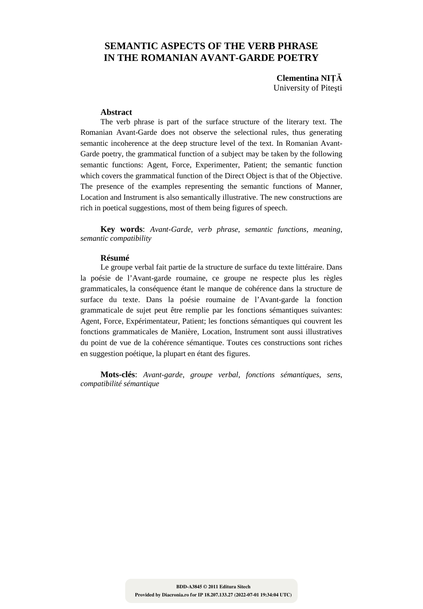# **SEMANTIC ASPECTS OF THE VERB PHRASE IN THE ROMANIAN AVANT-GARDE POETRY**

**Clementina NIŢĂ** University of Piteşti

#### **Abstract**

The verb phrase is part of the surface structure of the literary text. The Romanian Avant-Garde does not observe the selectional rules, thus generating semantic incoherence at the deep structure level of the text. In Romanian Avant-Garde poetry, the grammatical function of a subject may be taken by the following semantic functions: Agent, Force, Experimenter, Patient; the semantic function which covers the grammatical function of the Direct Object is that of the Objective. The presence of the examples representing the semantic functions of Manner, Location and Instrument is also semantically illustrative. The new constructions are rich in poetical suggestions, most of them being figures of speech.

**Key words**: *Avant-Garde*, *verb phrase*, *semantic functions*, *meaning*, *semantic compatibility*

#### **Résumé**

Le groupe verbal fait partie de la structure de surface du texte littéraire. Dans la poésie de l'Avant-garde roumaine, ce groupe ne respecte plus les règles grammaticales, la conséquence étant le manque de cohérence dans la structure de surface du texte. Dans la poésie roumaine de l'Avant-garde la fonction grammaticale de sujet peut être remplie par les fonctions sémantiques suivantes: Agent, Force, Expérimentateur, Patient; les fonctions sémantiques qui couvrent les fonctions grammaticales de Manière, Location, Instrument sont aussi illustratives du point de vue de la cohérence sémantique. Toutes ces constructions sont riches en suggestion poétique, la plupart en étant des figures.

**Mots-clés**: *Avant-garde*, *groupe verbal*, *fonctions sémantiques*, *sens*, *compatibilité sémantique*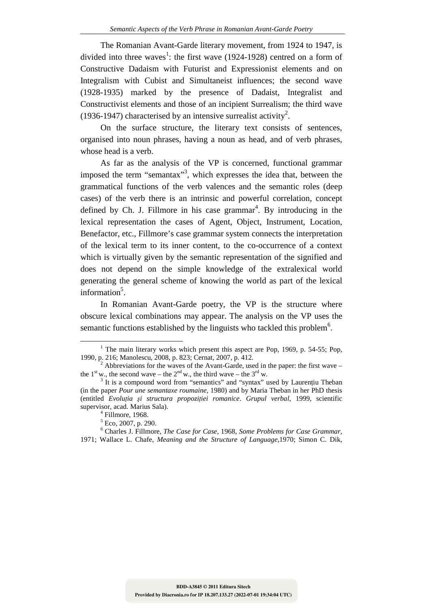The Romanian Avant-Garde literary movement, from 1924 to 1947, is divided into three waves<sup>1</sup>: the first wave  $(1924-1928)$  centred on a form of Constructive Dadaism with Futurist and Expressionist elements and on Integralism with Cubist and Simultaneist influences; the second wave (1928-1935) marked by the presence of Dadaist, Integralist and Constructivist elements and those of an incipient Surrealism; the third wave (1936-1947) characterised by an intensive surrealist activity<sup>2</sup>.

On the surface structure, the literary text consists of sentences, organised into noun phrases, having a noun as head, and of verb phrases, whose head is a verb.

As far as the analysis of the VP is concerned, functional grammar imposed the term "semantax"<sup>3</sup>, which expresses the idea that, between the grammatical functions of the verb valences and the semantic roles (deep cases) of the verb there is an intrinsic and powerful correlation, concept defined by Ch. J. Fillmore in his case grammar<sup>4</sup>. By introducing in the lexical representation the cases of Agent, Object, Instrument, Location, Benefactor, etc., Fillmore's case grammar system connects the interpretation of the lexical term to its inner content, to the co-occurrence of a context which is virtually given by the semantic representation of the signified and does not depend on the simple knowledge of the extralexical world generating the general scheme of knowing the world as part of the lexical information<sup>5</sup>.

In Romanian Avant-Garde poetry, the VP is the structure where obscure lexical combinations may appear. The analysis on the VP uses the semantic functions established by the linguists who tackled this problem<sup>6</sup>.

<sup>&</sup>lt;sup>1</sup> The main literary works which present this aspect are Pop, 1969, p. 54-55; Pop, 1990, p. 216; Manolescu, 2008, p. 823; Cernat, 2007, p. 412.

 $2$  Abbreviations for the waves of the Avant-Garde, used in the paper: the first wave – the 1<sup>st</sup> w., the second wave – the  $2<sup>nd</sup>$  w., the third wave – the 3<sup>rd</sup> w.

<sup>&</sup>lt;sup>3</sup> It is a compound word from "semantics" and "syntax" used by Laurențiu Theban (in the paper *Pour une semantaxe roumaine*, 1980) and by Maria Theban in her PhD thesis (entitled *Evoluţia şi structura propoziţiei romanice*. *Grupul verbal*, 1999, scientific supervisor, acad. Marius Sala).

<sup>4</sup> Fillmore, 1968.

<sup>5</sup> Eco, 2007, p. 290.

<sup>6</sup> Charles J. Fillmore, *The Case for Case*, 1968, *Some Problems for Case Grammar*, 1971; Wallace L. Chafe, *Meaning and the Structure of Language*,1970; Simon C. Dik,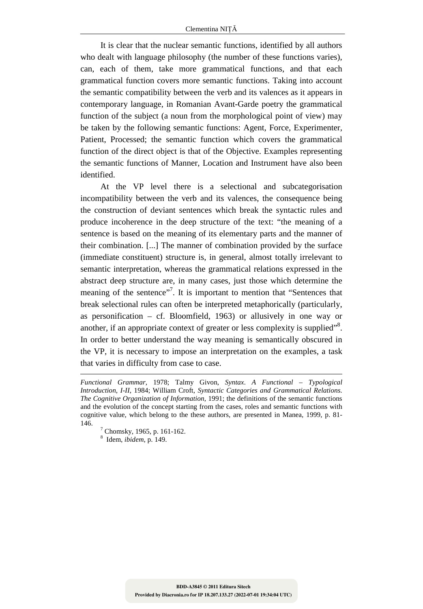It is clear that the nuclear semantic functions, identified by all authors who dealt with language philosophy (the number of these functions varies), can, each of them, take more grammatical functions, and that each grammatical function covers more semantic functions. Taking into account the semantic compatibility between the verb and its valences as it appears in contemporary language, in Romanian Avant-Garde poetry the grammatical function of the subject (a noun from the morphological point of view) may be taken by the following semantic functions: Agent, Force, Experimenter, Patient, Processed; the semantic function which covers the grammatical function of the direct object is that of the Objective. Examples representing the semantic functions of Manner, Location and Instrument have also been identified.

At the VP level there is a selectional and subcategorisation incompatibility between the verb and its valences, the consequence being the construction of deviant sentences which break the syntactic rules and produce incoherence in the deep structure of the text: "the meaning of a sentence is based on the meaning of its elementary parts and the manner of their combination. [...] The manner of combination provided by the surface (immediate constituent) structure is, in general, almost totally irrelevant to semantic interpretation, whereas the grammatical relations expressed in the abstract deep structure are, in many cases, just those which determine the meaning of the sentence"<sup>7</sup>. It is important to mention that "Sentences that break selectional rules can often be interpreted metaphorically (particularly, as personification – cf. Bloomfield, 1963) or allusively in one way or another, if an appropriate context of greater or less complexity is supplied"<sup>8</sup>. In order to better understand the way meaning is semantically obscured in the VP, it is necessary to impose an interpretation on the examples, a task that varies in difficulty from case to case.

-

*Functional Grammar*, 1978; Talmy Givon, *Syntax*. *A Functional – Typological Introduction*, *I-II*, 1984; William Croft, *Syntactic Categories and Grammatical Relations*. *The Cognitive Organization of Information*, 1991; the definitions of the semantic functions and the evolution of the concept starting from the cases, roles and semantic functions with cognitive value, which belong to the these authors, are presented in Manea, 1999, p. 81- 146.

 $7$  Chomsky, 1965, p. 161-162.

<sup>8</sup> Idem, *ibidem*, p. 149.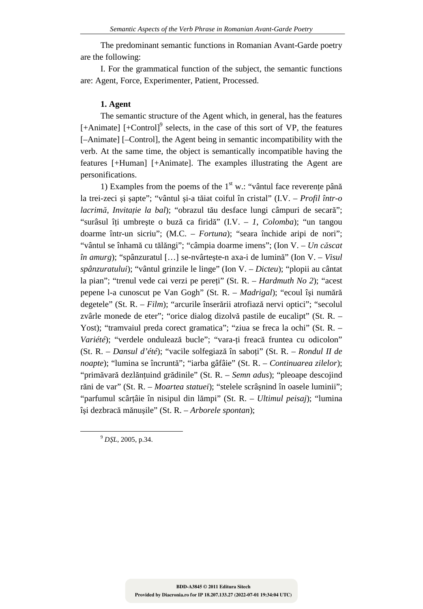The predominant semantic functions in Romanian Avant-Garde poetry are the following:

I. For the grammatical function of the subject, the semantic functions are: Agent, Force, Experimenter, Patient, Processed.

### **1. Agent**

The semantic structure of the Agent which, in general, has the features  $[+Animal]$   $[+Control]$ <sup>9</sup> selects, in the case of this sort of VP, the features [–Animate] [–Control], the Agent being in semantic incompatibility with the verb. At the same time, the object is semantically incompatible having the features [+Human] [+Animate]. The examples illustrating the Agent are personifications.

1) Examples from the poems of the  $1<sup>st</sup>$  w.: "vântul face reverente până la trei-zeci şi şapte"; "vântul şi-a tăiat coiful în cristal" (I.V. – *Profil într-o lacrimă*, *Invitaţie la bal*); "obrazul tău desface lungi câmpuri de secară"; "surâsul îţi umbreşte o buză ca firidă" (I.V. – *1*, *Colomba*); "un tangou doarme într-un sicriu"; (M.C. – *Fortuna*); "seara închide aripi de nori"; "vântul se înhamă cu tălăngi"; "câmpia doarme imens"; (Ion V. – *Un căscat în amurg*); "spânzuratul […] se-nvârteşte-n axa-i de lumină" (Ion V. – *Visul spânzuratului*); "vântul grinzile le linge" (Ion V. – *Dicteu*); "plopii au cântat la pian"; "trenul vede cai verzi pe pereţi" (St. R. – *Hardmuth No 2*); "acest pepene l-a cunoscut pe Van Gogh" (St. R. – *Madrigal*); "ecoul îşi numără degetele" (St. R. – *Film*); "arcurile înserării atrofiază nervi optici"; "secolul zvârle monede de eter"; "orice dialog dizolvă pastile de eucalipt" (St. R. – Yost); "tramvaiul preda corect gramatica"; "ziua se freca la ochi" (St. R. – *Variété*); "verdele ondulează bucle"; "vara-ţi freacă fruntea cu odicolon" (St. R. – *Dansul d'été*); "vacile solfegiază în saboţi" (St. R. – *Rondul II de noapte*); "lumina se încruntă"; "iarba gâfâie" (St. R. – *Continuarea zilelor*); "primăvară dezlăntuind grădinile" (St. R. – *Semn adus*); "pleoape descojind răni de var" (St. R. – *Moartea statuei*); "stelele scrâşnind în oasele luminii"; "parfumul scârţâie în nisipul din lămpi" (St. R. – *Ultimul peisaj*); "lumina îşi dezbracă mănuşile" (St. R. – *Arborele spontan*);

<sup>9</sup> *DŞL*, 2005, p.34.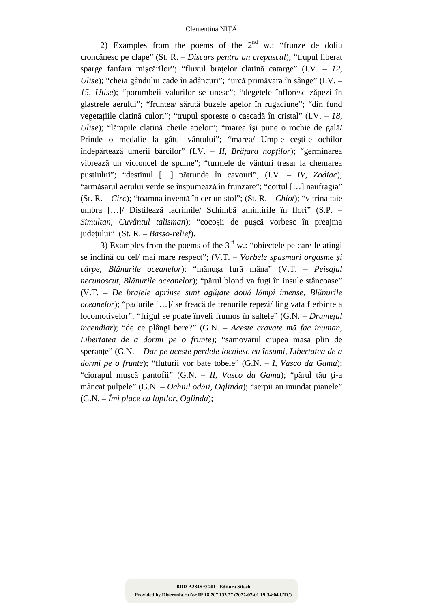2) Examples from the poems of the  $2<sup>nd</sup>$  w.: "frunze de doliu croncănesc pe clape" (St. R. – *Discurs pentru un crepuscul*); "trupul liberat sparge fanfara mişcărilor"; "fluxul braţelor clatină catarge" (I.V. – *12*, *Ulise*); "cheia gândului cade în adâncuri"; "urcă primăvara în sânge" (I.V. – *15*, *Ulise*); "porumbeii valurilor se unesc"; "degetele înfloresc zăpezi în glastrele aerului"; "fruntea/ sărută buzele apelor în rugăciune"; "din fund vegetațiile clatină culori"; "trupul sporește o cascadă în cristal" (I.V. – 18, *Ulise*); "lămpile clatină cheile apelor"; "marea îşi pune o rochie de gală/ Prinde o medalie la gâtul vântului"; "marea/ Umple ceştile ochilor îndepărtează umerii bărcilor" (I.V. – *II*, *Brăţara nopţilor*); "germinarea vibrează un violoncel de spume"; "turmele de vânturi tresar la chemarea pustiului"; "destinul […] pătrunde în cavouri"; (I.V. – *IV*, *Zodiac*); "armăsarul aerului verde se înspumează în frunzare"; "cortul […] naufragia" (St. R. – *Circ*); "toamna inventă în cer un stol"; (St. R. – *Chiot*); "vitrina taie umbra […]/ Distilează lacrimile/ Schimbă amintirile în flori" (S.P. – *Simultan*, *Cuvântul talisman*); "cocoşii de puşcă vorbesc în preajma judeţului" (St. R. – *Basso-relief*).

3) Examples from the poems of the  $3<sup>rd</sup>$  w.: "obiectele pe care le atingi se înclină cu cel/ mai mare respect"; (V.T. – *Vorbele spasmuri orgasme şi cârpe*, *Blănurile oceanelor*); "mănuşa fură mâna" (V.T. – *Peisajul necunoscut*, *Blănurile oceanelor*); "părul blond va fugi în insule stâncoase" (V.T. – *De braţele aprinse sunt agăţate două lămpi imense*, *Blănurile oceanelor*); "pădurile […]/ se freacă de trenurile repezi/ ling vata fierbinte a locomotivelor"; "frigul se poate înveli frumos în saltele" (G.N. – *Drumeţul incendiar*); "de ce plângi bere?" (G.N. – *Aceste cravate mă fac inuman*, *Libertatea de a dormi pe o frunte*); "samovarul ciupea masa plin de speranţe" (G.N. – *Dar pe aceste perdele locuiesc eu însumi*, *Libertatea de a dormi pe o frunte*); "fluturii vor bate tobele" (G.N. – *I*, *Vasco da Gama*); "ciorapul muşcă pantofii" (G.N. – *II*, *Vasco da Gama*); "părul tău ţi-a mâncat pulpele" (G.N. – *Ochiul odăii*, *Oglinda*); "şerpii au inundat pianele" (G.N. – *Îmi place ca lupilor*, *Oglinda*);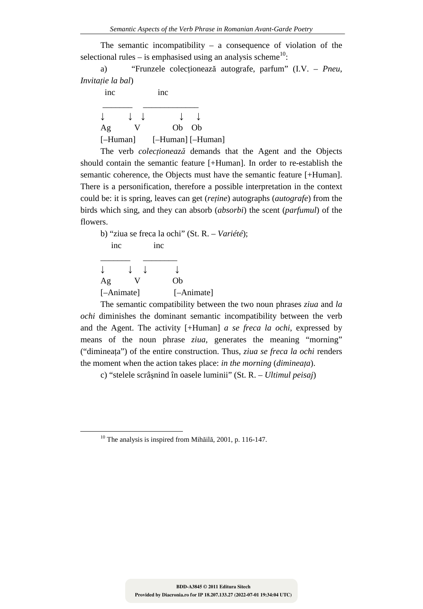The semantic incompatibility – a consequence of violation of the selectional rules – is emphasised using an analysis scheme<sup>10</sup>:

a) "Frunzele colecţionează autografe, parfum" (I.V. – *Pneu*, *Invitaţie la bal*)

| <sub>1</sub> nc | 1nc               |
|-----------------|-------------------|
|                 |                   |
| Ag              | Ob Ob             |
| $[-Human]$      | [-Human] [-Human] |

The verb *colecţionează* demands that the Agent and the Objects should contain the semantic feature [+Human]. In order to re-establish the semantic coherence, the Objects must have the semantic feature [+Human]. There is a personification, therefore a possible interpretation in the context could be: it is spring, leaves can get (*reţine*) autographs (*autografe*) from the birds which sing, and they can absorb (*absorbi*) the scent (*parfumul*) of the flowers.

|            |     | b) "ziua se freca la ochi" (St. R. – Variété); |  |
|------------|-----|------------------------------------------------|--|
| inc        | inc |                                                |  |
|            |     |                                                |  |
|            |     |                                                |  |
| Ag         |     | Oh                                             |  |
| [-Animate] |     | [-Animate]                                     |  |

The semantic compatibility between the two noun phrases *ziua* and *la ochi* diminishes the dominant semantic incompatibility between the verb and the Agent. The activity [+Human] *a se freca la ochi*, expressed by means of the noun phrase *ziua*, generates the meaning "morning" ("dimineaţa") of the entire construction. Thus, *ziua se freca la ochi* renders the moment when the action takes place: *in the morning* (*dimineaţa*).

c) "stelele scrâşnind în oasele luminii" (St. R. – *Ultimul peisaj*)

<sup>&</sup>lt;sup>10</sup> The analysis is inspired from Mihăilă, 2001, p. 116-147.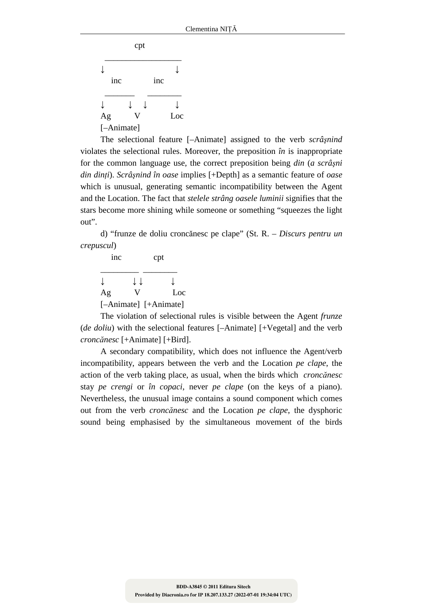|            | cpt |     |     |
|------------|-----|-----|-----|
|            |     |     |     |
| inc        |     | inc |     |
|            |     |     |     |
| Ag         |     |     | Loc |
| [-Animate] |     |     |     |

The selectional feature [–Animate] assigned to the verb *scrâşnind* violates the selectional rules. Moreover, the preposition *în* is inappropriate for the common language use, the correct preposition being *din* (*a scrâşni din dinţi*). *Scrâşnind în oase* implies [+Depth] as a semantic feature of *oase* which is unusual, generating semantic incompatibility between the Agent and the Location. The fact that *stelele strâng oasele luminii* signifies that the stars become more shining while someone or something "squeezes the light out".

d) "frunze de doliu croncănesc pe clape" (St. R. – *Discurs pentru un crepuscul*)

| inc |    | cpt                   |
|-----|----|-----------------------|
|     | ΙI |                       |
| Ag  |    | Loc                   |
|     |    | [-Animate] [+Animate] |

The violation of selectional rules is visible between the Agent *frunze* (*de doliu*) with the selectional features [-Animate] [+Vegetal] and the verb *croncănesc* [+Animate] [+Bird].

A secondary compatibility, which does not influence the Agent/verb incompatibility, appears between the verb and the Location *pe clape*, the action of the verb taking place, as usual, when the birds which *croncănesc* stay *pe crengi* or *în copaci*, never *pe clape* (on the keys of a piano). Nevertheless, the unusual image contains a sound component which comes out from the verb *croncănesc* and the Location *pe clape*, the dysphoric sound being emphasised by the simultaneous movement of the birds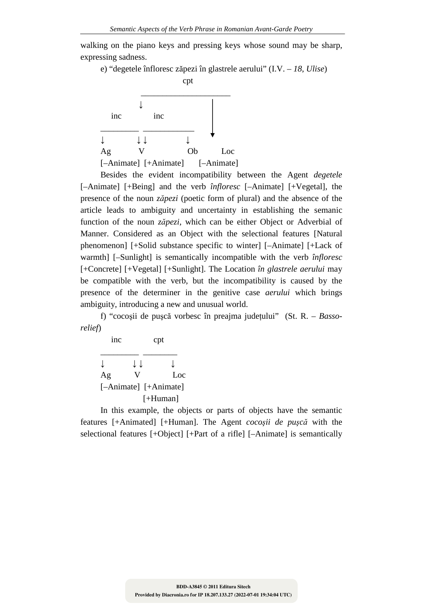walking on the piano keys and pressing keys whose sound may be sharp, expressing sadness.

e) "degetele înfloresc zăpezi în glastrele aerului" (I.V. – *18*, *Ulise*)



Besides the evident incompatibility between the Agent *degetele* [–Animate] [+Being] and the verb *înfloresc* [–Animate] [+Vegetal], the presence of the noun *zăpezi* (poetic form of plural) and the absence of the article leads to ambiguity and uncertainty in establishing the semanic function of the noun *zăpezi*, which can be either Object or Adverbial of Manner. Considered as an Object with the selectional features [Natural phenomenon] [+Solid substance specific to winter] [–Animate] [+Lack of warmth] [–Sunlight] is semantically incompatible with the verb *înfloresc* [+Concrete] [+Vegetal] [+Sunlight]. The Location *în glastrele aerului* may be compatible with the verb, but the incompatibility is caused by the presence of the determiner in the genitive case *aerului* which brings ambiguity, introducing a new and unusual world.

f) "cocoşii de puşcă vorbesc în preajma judeţului" (St. R. – *Bassorelief*)

 inc cpt \_\_\_\_\_\_\_\_\_ \_\_\_\_\_\_\_\_ ↓ ↓ ↓ ↓ Ag V Loc [–Animate] [+Animate] [+Human]

In this example, the objects or parts of objects have the semantic features [+Animated] [+Human]. The Agent *cocoşii de puşcă* with the selectional features [+Object] [+Part of a rifle] [–Animate] is semantically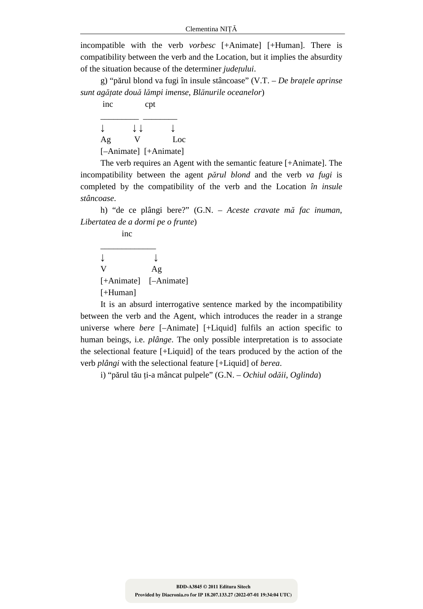incompatible with the verb *vorbesc* [+Animate] [+Human]. There is compatibility between the verb and the Location, but it implies the absurdity of the situation because of the determiner *judeţului*.

g) "părul blond va fugi în insule stâncoase" (V.T. – *De braţele aprinse sunt agăţate două lămpi imense*, *Blănurile oceanelor*)

| inc                   | cpt                               |             |
|-----------------------|-----------------------------------|-------------|
|                       | ↓↓                                |             |
| Ag                    |                                   | Loc         |
| п<br>$\blacktriangle$ | $\mathbf{r}$ . A<br>$\sim$ $\sim$ | п<br>$\sim$ |

[–Animate] [+Animate]

The verb requires an Agent with the semantic feature [+Animate]. The incompatibility between the agent *părul blond* and the verb *va fugi* is completed by the compatibility of the verb and the Location *în insule stâncoase*.

h) "de ce plângi bere?" (G.N. – *Aceste cravate mă fac inuman*, *Libertatea de a dormi pe o frunte*)

 inc \_\_\_\_\_\_\_\_\_\_\_\_\_

↓ ↓ V Ag [+Animate] [–Animate] [+Human]

It is an absurd interrogative sentence marked by the incompatibility between the verb and the Agent, which introduces the reader in a strange universe where *bere* [–Animate] [+Liquid] fulfils an action specific to human beings, i.e. *plânge*. The only possible interpretation is to associate the selectional feature [+Liquid] of the tears produced by the action of the verb *plângi* with the selectional feature [+Liquid] of *berea*.

i) "părul tău ţi-a mâncat pulpele" (G.N. – *Ochiul odăii*, *Oglinda*)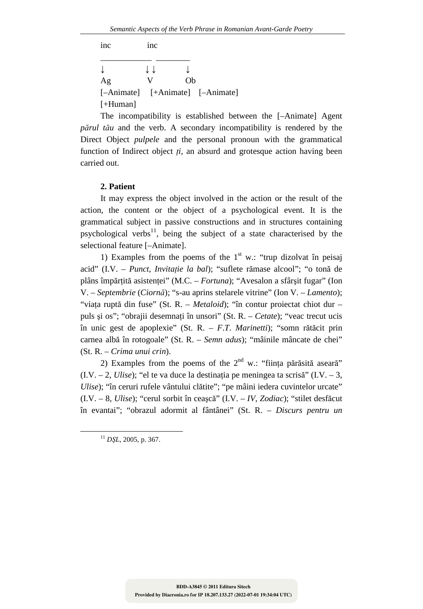| inc        | 1nc |    |                                  |
|------------|-----|----|----------------------------------|
|            | ιı  |    |                                  |
| Ag         | V   | Oh |                                  |
|            |     |    | [-Animate] [+Animate] [-Animate] |
| $[+Human]$ |     |    |                                  |

The incompatibility is established between the [–Animate] Agent *părul tău* and the verb. A secondary incompatibility is rendered by the Direct Object *pulpele* and the personal pronoun with the grammatical function of Indirect object *ţi*, an absurd and grotesque action having been carried out.

### **2. Patient**

It may express the object involved in the action or the result of the action, the content or the object of a psychological event. It is the grammatical subject in passive constructions and in structures containing psychological verbs<sup>11</sup>, being the subject of a state characterised by the selectional feature [–Animate].

1) Examples from the poems of the  $1<sup>st</sup>$  w.: "trup dizolvat în peisaj acid" (I.V. – *Punct*, *Invitaţie la bal*); "suflete rămase alcool"; "o tonă de plâns împărţită asistenţei" (M.C. – *Fortuna*); "Avesalon a sfârşit fugar" (Ion V. – *Septembrie* (*Ciornă*); "s-au aprins stelarele vitrine" (Ion V. – *Lamento*); "viaţa ruptă din fuse" (St. R. – *Metaloid*); "în contur proiectat chiot dur *–*  puls şi os"; "obrajii desemnaţi în unsori" (St. R. – *Cetate*); "veac trecut ucis în unic gest de apoplexie" (St. R. – *F*.*T*. *Marinetti*); "somn rătăcit prin carnea albă în rotogoale" (St. R. – *Semn adus*); "mâinile mâncate de chei" (St. R. – *Crima unui crin*).

2) Examples from the poems of the  $2<sup>nd</sup>$  w.: "ființa părăsită aseară"  $(I.V. - 2, U \text{ } I \text{ } ; \text{ }$ "el te va duce la destinatia pe meningea ta scrisă" (I.V. – 3, *Ulise*); "în ceruri rufele vântului clătite"; "pe mâini iedera cuvintelor urcate" (I.V. – 8, *Ulise*); "cerul sorbit în ceaşcă" (I.V. – *IV*, *Zodiac*); "stilet desfăcut în evantai"; "obrazul adormit al fântânei" (St. R. – *Discurs pentru un* 

<sup>11</sup> *DŞL*, 2005, p. 367.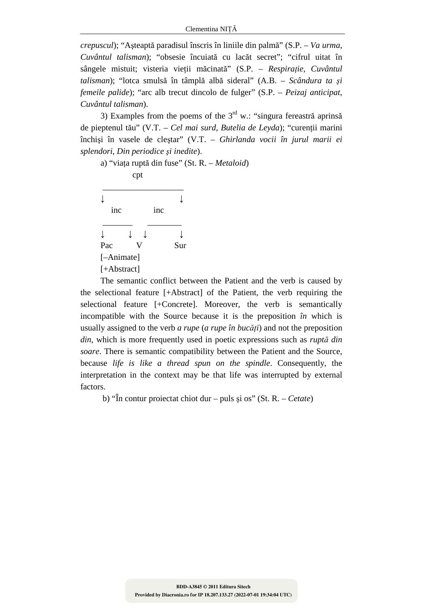*crepuscul*); "Aşteaptă paradisul înscris în liniile din palmă" (S.P. – *Va urma*, *Cuvântul talisman*); "obsesie încuiată cu lacăt secret"; "cifrul uitat în sângele mistuit; visteria vieţii măcinată" (S.P. – *Respiraţie*, *Cuvântul talisman*); "lotca smulsă în tâmplă albă sideral" (A.B. – *Scândura ta şi femeile palide*); "arc alb trecut dincolo de fulger" (S.P. – *Peizaj anticipat*, *Cuvântul talisman*).

3) Examples from the poems of the  $3<sup>rd</sup>$  w.: "singura fereastră aprinsă de pieptenul tău" (V.T. – *Cel mai surd*, *Butelia de Leyda*); "curenţii marini închişi în vasele de cleştar" (V.T. *– Ghirlanda vocii în jurul marii ei splendori*, *Din periodice şi inedite*).



The semantic conflict between the Patient and the verb is caused by the selectional feature [+Abstract] of the Patient, the verb requiring the selectional feature [+Concrete]. Moreover, the verb is semantically incompatible with the Source because it is the preposition *în* which is usually assigned to the verb *a rupe* (*a rupe în bucăţi*) and not the preposition *din*, which is more frequently used in poetic expressions such as *ruptă din soare*. There is semantic compatibility between the Patient and the Source, because *life is like a thread spun on the spindle*. Consequently, the interpretation in the context may be that life was interrupted by external factors.

b) "În contur proiectat chiot dur – puls şi os" (St. R. – *Cetate*)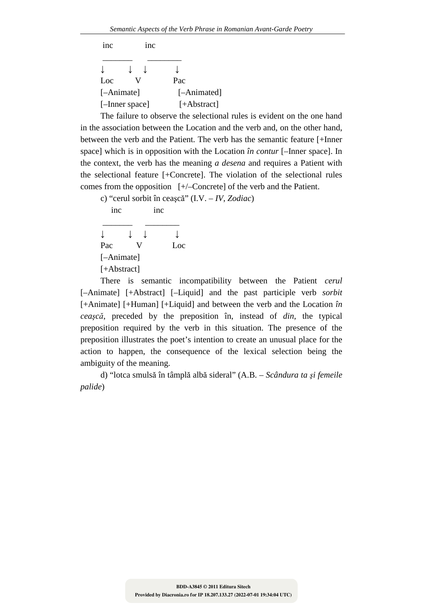| 1nc        | 1nc            |             |
|------------|----------------|-------------|
|            |                |             |
| Loc        |                | Pac         |
| [-Animate] |                | [-Animated] |
|            | [-Inner space] | [+Abstract] |
|            |                |             |

The failure to observe the selectional rules is evident on the one hand in the association between the Location and the verb and, on the other hand, between the verb and the Patient. The verb has the semantic feature [+Inner space] which is in opposition with the Location *în contur* [–Inner space]. In the context, the verb has the meaning *a desena* and requires a Patient with the selectional feature [+Concrete]. The violation of the selectional rules comes from the opposition [+/–Concrete] of the verb and the Patient.

c) "cerul sorbit în ceaşcă" (I.V. – *IV*, *Zodiac*)

inc inc

 \_\_\_\_\_\_\_ \_\_\_\_\_\_\_\_ ↓ ↓ ↓ ↓ Pac V Loc [–Animate] [+Abstract]

There is semantic incompatibility between the Patient *cerul* [–Animate] [+Abstract] [–Liquid] and the past participle verb *sorbit* [+Animate] [+Human] [+Liquid] and between the verb and the Location *în ceaşcă*, preceded by the preposition în, instead of *din*, the typical preposition required by the verb in this situation. The presence of the preposition illustrates the poet's intention to create an unusual place for the action to happen, the consequence of the lexical selection being the ambiguity of the meaning.

d) "lotca smulsă în tâmplă albă sideral" (A.B. – *Scândura ta şi femeile palide*)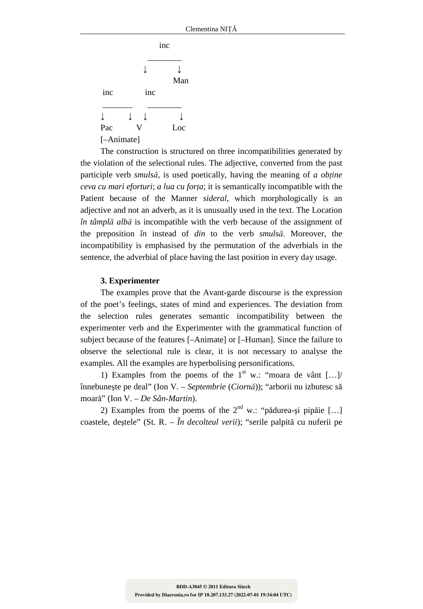|            |  |     | inc |  |
|------------|--|-----|-----|--|
|            |  |     | Man |  |
| inc        |  | inc |     |  |
|            |  |     |     |  |
| Pac        |  |     | Loc |  |
| [-Animate] |  |     |     |  |

The construction is structured on three incompatibilities generated by the violation of the selectional rules. The adjective, converted from the past participle verb *smulsă*, is used poetically, having the meaning of *a obţine ceva cu mari eforturi; a lua cu forta*; it is semantically incompatible with the Patient because of the Manner *sideral*, which morphologically is an adjective and not an adverb, as it is unusually used in the text. The Location *în tâmplă albă* is incompatible with the verb because of the assignment of the preposition *în* instead of *din* to the verb *smulsă*. Moreover, the incompatibility is emphasised by the permutation of the adverbials in the sentence, the adverbial of place having the last position in every day usage.

### **3. Experimenter**

The examples prove that the Avant-garde discourse is the expression of the poet's feelings, states of mind and experiences. The deviation from the selection rules generates semantic incompatibility between the experimenter verb and the Experimenter with the grammatical function of subject because of the features [–Animate] or [–Human]. Since the failure to observe the selectional rule is clear, it is not necessary to analyse the examples. All the examples are hyperbolising personifications.

1) Examples from the poems of the  $1<sup>st</sup>$  w.: "moara de vânt [...]/ înnebuneşte pe deal" (Ion V. – *Septembrie* (*Ciornă*)); "arborii nu izbutesc să moară" (Ion V. – *De Sân-Martin*).

2) Examples from the poems of the  $2<sup>nd</sup>$  w.: "pădurea-și pipăie [...] coastele, deştele" (St. R. – *În decolteul verii*); "serile palpită cu nuferii pe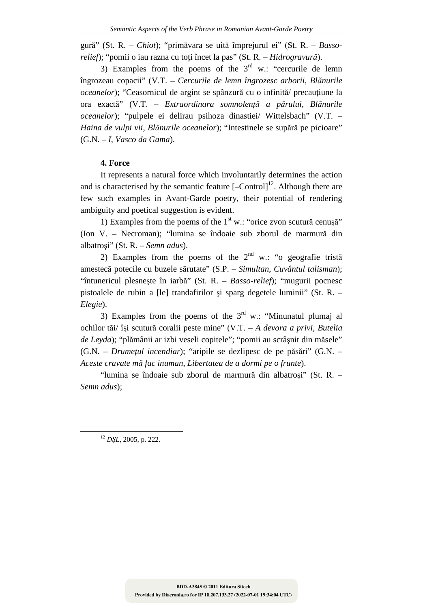gură" (St. R. – *Chiot*); "primăvara se uită împrejurul ei" (St. R. – *Bassorelief*); "pomii o iau razna cu toţi încet la pas" (St. R. – *Hidrogravură*).

3) Examples from the poems of the  $3<sup>rd</sup>$  w.: "cercurile de lemn îngrozeau copacii" (V.T. – *Cercurile de lemn îngrozesc arborii*, *Blănurile oceanelor*); "Ceasornicul de argint se spânzură cu o infinită/ precautiune la ora exactă" (V.T. – *Extraordinara somnolenţă a părului*, *Blănurile oceanelor*); "pulpele ei delirau psihoza dinastiei/ Wittelsbach" (V.T. – *Haina de vulpi vii*, *Blănurile oceanelor*); "Intestinele se supără pe picioare" (G.N. – *I*, *Vasco da Gama*).

# **4. Force**

It represents a natural force which involuntarily determines the action and is characterised by the semantic feature  $[-\text{Control}]^{12}$ . Although there are few such examples in Avant-Garde poetry, their potential of rendering ambiguity and poetical suggestion is evident.

1) Examples from the poems of the  $1<sup>st</sup>$  w.: "orice zvon scutură cenușă" (Ion V. – Necroman); "lumina se îndoaie sub zborul de marmură din albatroşi" (St. R. – *Semn adus*).

2) Examples from the poems of the  $2<sup>nd</sup>$  w.: "o geografie tristă amestecă potecile cu buzele sărutate" (S.P. – *Simultan*, *Cuvântul talisman*); "întunericul plesneşte în iarbă" (St. R. – *Basso-relief*); "mugurii pocnesc pistoalele de rubin a [le] trandafirilor şi sparg degetele luminii" (St. R. – *Elegie*).

3) Examples from the poems of the  $3<sup>rd</sup>$  w.: "Minunatul plumaj al ochilor tăi/ îşi scutură coralii peste mine" (V.T. – *A devora a privi*, *Butelia de Leyda*); "plămânii ar izbi veseli copitele"; "pomii au scrâşnit din măsele" (G.N. – *Drumeţul incendiar*); "aripile se dezlipesc de pe păsări" (G.N. – *Aceste cravate mă fac inuman*, *Libertatea de a dormi pe o frunte*).

"lumina se îndoaie sub zborul de marmură din albatroşi" (St. R. – *Semn adus*);

<sup>12</sup> *DŞL*, 2005, p. 222.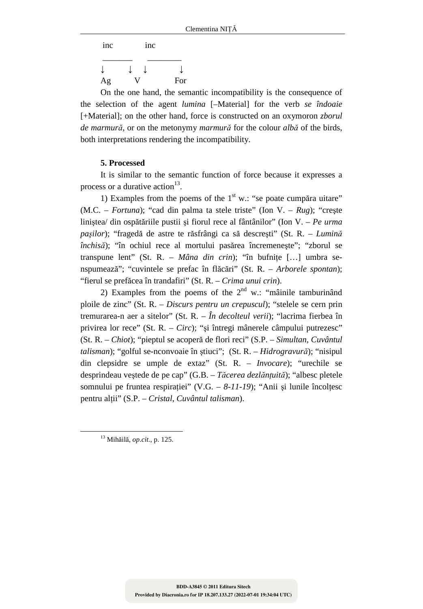| inc |  | inc |     |
|-----|--|-----|-----|
|     |  |     |     |
| Ag  |  |     | For |

On the one hand, the semantic incompatibility is the consequence of the selection of the agent *lumina* [–Material] for the verb *se îndoaie* [+Material]; on the other hand, force is constructed on an oxymoron *zborul de marmură*, or on the metonymy *marmură* for the colour *albă* of the birds, both interpretations rendering the incompatibility.

# **5. Processed**

It is similar to the semantic function of force because it expresses a process or a durative action<sup>13</sup>.

1) Examples from the poems of the  $1<sup>st</sup>$  w.: "se poate cumpăra uitare" (M.C. – *Fortuna*); "cad din palma ta stele triste" (Ion V. – *Rug*); "creşte liniştea/ din ospătăriile pustii şi fiorul rece al fântânilor" (Ion V. – *Pe urma paşilor*); "fragedă de astre te răsfrângi ca să descreşti" (St. R. – *Lumină închisă*); "în ochiul rece al mortului pasărea încremeneşte"; "zborul se transpune lent" (St. R. – *Mâna din crin*); "în bufniţe […] umbra senspumează"; "cuvintele se prefac în flăcări" (St. R. – *Arborele spontan*); "fierul se prefăcea în trandafiri" (St. R. – *Crima unui crin*).

2) Examples from the poems of the  $2<sup>nd</sup>$  w.: "mâinile tamburinând ploile de zinc" (St. R. – *Discurs pentru un crepuscul*); "stelele se cern prin tremurarea-n aer a sitelor" (St. R. – *În decolteul verii*); "lacrima fierbea în privirea lor rece" (St. R. – *Circ*); "şi întregi mânerele câmpului putrezesc" (St. R. – *Chiot*); "pieptul se acoperă de flori reci" (S.P. – *Simultan*, *Cuvântul talisman*); "golful se-nconvoaie în ştiuci"; (St. R. – *Hidrogravură*); "nisipul din clepsidre se umple de extaz" (St. R. – *Invocare*); "urechile se desprindeau veştede de pe cap" (G.B. – *Tăcerea dezlănţuită*); "albesc pletele somnului pe fruntea respirației" (V.G. – 8-11-19); "Anii și lunile încolțesc pentru alţii" (S.P. – *Cristal*, *Cuvântul talisman*).

<sup>13</sup> Mihăilă, *op*.*cit*., p. 125.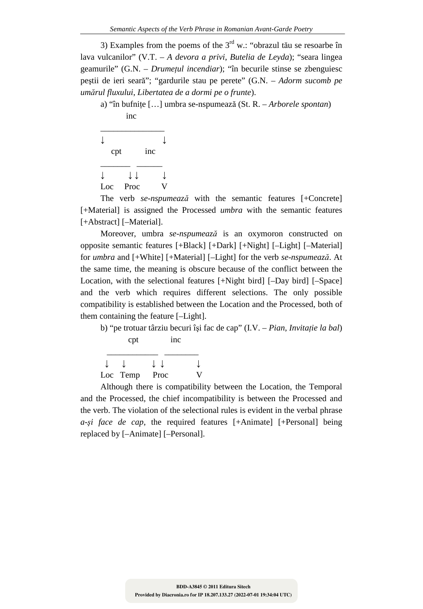3) Examples from the poems of the  $3<sup>rd</sup>$  w.: "obrazul tău se resoarbe în lava vulcanilor" (V.T. – *A devora a privi*, *Butelia de Leyda*); "seara lingea geamurile" (G.N. – *Drumeţul incendiar*); "în becurile stinse se zbenguiesc peştii de ieri seară"; "gardurile stau pe perete" (G.N. – *Adorm sucomb pe umărul fluxului*, *Libertatea de a dormi pe o frunte*).

a) "în bufniţe […] umbra se-nspumează (St. R. – *Arborele spontan*) inc



The verb *se-nspumează* with the semantic features [+Concrete] [+Material] is assigned the Processed *umbra* with the semantic features [+Abstract] [-Material].

Moreover, umbra *se-nspumează* is an oxymoron constructed on opposite semantic features [+Black] [+Dark] [+Night] [–Light] [–Material] for *umbra* and [+White] [+Material] [–Light] for the verb *se-nspumează*. At the same time, the meaning is obscure because of the conflict between the Location, with the selectional features [+Night bird] [-Day bird] [-Space] and the verb which requires different selections. The only possible compatibility is established between the Location and the Processed, both of them containing the feature [–Light].

b) "pe trotuar târziu becuri îşi fac de cap" (I.V. – *Pian*, *Invitaţie la bal*) cpt inc

| Loc Temp Proc |  |
|---------------|--|

Although there is compatibility between the Location, the Temporal and the Processed, the chief incompatibility is between the Processed and the verb. The violation of the selectional rules is evident in the verbal phrase *a-şi face de cap*, the required features [+Animate] [+Personal] being replaced by [–Animate] [–Personal].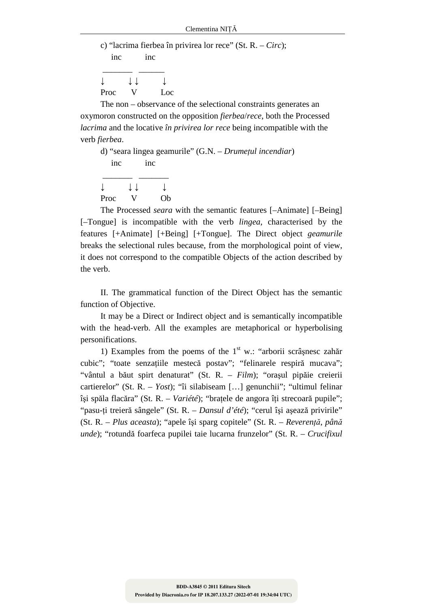|                                        |    |                 | c) "lacrima fierbea în privirea lor rece" (St. R. – Circ); |
|----------------------------------------|----|-----------------|------------------------------------------------------------|
| inc                                    |    | 1 <sub>nc</sub> |                                                            |
|                                        |    |                 |                                                            |
| $\downarrow$ $\downarrow$ $\downarrow$ |    |                 |                                                            |
| Proc                                   | V. | Loc             |                                                            |

The non – observance of the selectional constraints generates an oxymoron constructed on the opposition *fierbea*/*rece*, both the Processed *lacrima* and the locative *în privirea lor rece* being incompatible with the verb *fierbea*.

d) "seara lingea geamurile" (G.N. – *Drumeţul incendiar*) inc inc  $\frac{1}{\sqrt{2\pi}}$ ↓ ↓ ↓ ↓

Proc V Ob

The Processed *seara* with the semantic features [–Animate] [–Being] [–Tongue] is incompatible with the verb *lingea*, characterised by the features [+Animate] [+Being] [+Tongue]. The Direct object *geamurile* breaks the selectional rules because, from the morphological point of view, it does not correspond to the compatible Objects of the action described by the verb.

II. The grammatical function of the Direct Object has the semantic function of Objective.

It may be a Direct or Indirect object and is semantically incompatible with the head-verb. All the examples are metaphorical or hyperbolising personifications.

1) Examples from the poems of the  $1<sup>st</sup>$  w.: "arborii scrâșnesc zahăr cubic"; "toate senzaţiile mestecă postav"; "felinarele respiră mucava"; "vântul a băut spirt denaturat" (St. R. – *Film*); "oraşul pipăie creierii cartierelor" (St. R. – *Yost*); "îi silabiseam […] genunchii"; "ultimul felinar îşi spăla flacăra" (St. R. – *Variété*); "braţele de angora îţi strecoară pupile"; "pasu-ţi treieră sângele" (St. R. – *Dansul d'été*); "cerul îşi aşează privirile" (St. R. – *Plus aceasta*); "apele îşi sparg copitele" (St. R. – *Reverenţă*, *până unde*); "rotundă foarfeca pupilei taie lucarna frunzelor" (St. R. – *Crucifixul*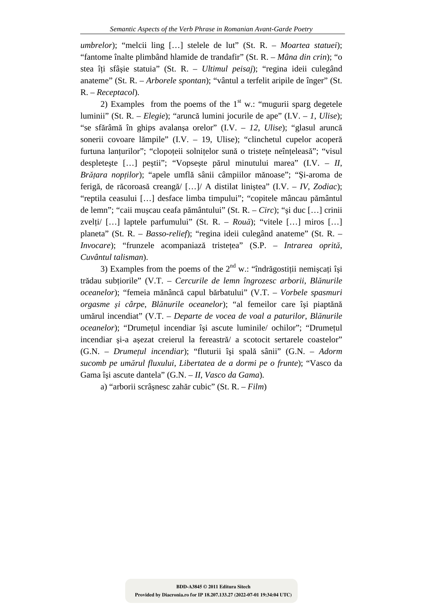*umbrelor*); "melcii ling […] stelele de lut" (St. R. – *Moartea statuei*); "fantome înalte plimbând hlamide de trandafir" (St. R. – *Mâna din crin*); "o stea îţi sfâşie statuia" (St. R. – *Ultimul peisaj*); "regina ideii culegând anateme" (St. R. – *Arborele spontan*); "vântul a terfelit aripile de înger" (St. R. – *Receptacol*).

2) Examples from the poems of the  $1<sup>st</sup>$  w.: "mugurii sparg degetele luminii" (St. R. – *Elegie*); "aruncă lumini jocurile de ape" (I.V. – *1*, *Ulise*); "se sfărâmă în ghips avalanşa orelor" (I.V. – *12*, *Ulise*); "glasul aruncă sonerii covoare lămpile" (I.V. – 19, Ulise); "clinchetul cupelor acoperă furtuna lanțurilor"; "clopoțeii solnițelor sună o tristețe neînțeleasă"; "visul despleteşte […] peştii"; "Vopseşte părul minutului marea" (I.V. – *II*, *Brăţara nopţilor*); "apele umflă sânii câmpiilor mănoase"; "Şi-aroma de ferigă, de răcoroasă creangă/ […]/ A distilat liniştea" (I.V. – *IV*, *Zodiac*); "reptila ceasului […] desface limba timpului"; "copitele mâncau pământul de lemn"; "caii muşcau ceafa pământului" (St. R. – *Circ*); "şi duc […] crinii zvelţi/ […] laptele parfumului" (St. R. – *Rouă*); "vitele […] miros […] planeta" (St. R. – *Basso-relief*); "regina ideii culegând anateme" (St. R. – *Invocare*); "frunzele acompaniază tristeţea" (S.P. – *Intrarea oprită*, *Cuvântul talisman*).

3) Examples from the poems of the  $2<sup>nd</sup>$  w.: "îndrăgostiții nemișcați își trădau subţiorile" (V.T. – *Cercurile de lemn îngrozesc arborii*, *Blănurile oceanelor*); "femeia mănâncă capul bărbatului" (V.T. – *Vorbele spasmuri orgasme şi cârpe*, *Blănurile oceanelor*); "al femeilor care îşi piaptănă umărul incendiat" (V.T. – *Departe de vocea de voal a paturilor*, *Blănurile oceanelor*); "Drumeţul incendiar îşi ascute luminile/ ochilor"; "Drumeţul incendiar şi-a aşezat creierul la fereastră/ a scotocit sertarele coastelor" (G.N. – *Drumeţul incendiar*); "fluturii îşi spală sânii" (G.N. – *Adorm sucomb pe umărul fluxului*, *Libertatea de a dormi pe o frunte*); "Vasco da Gama îşi ascute dantela" (G.N. – *II*, *Vasco da Gama*).

a) "arborii scrâşnesc zahăr cubic" (St. R. – *Film*)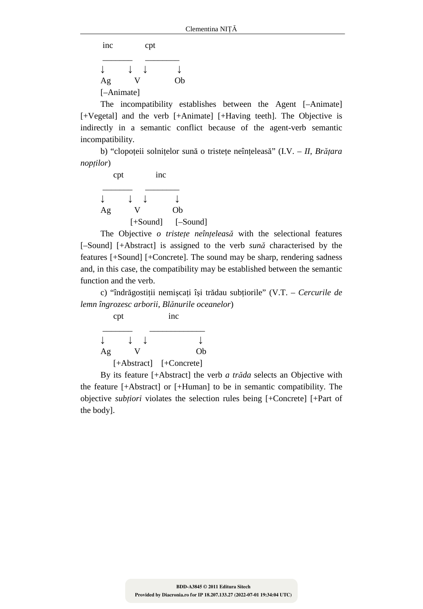inc cpt

 \_\_\_\_\_\_\_ \_\_\_\_\_\_\_\_ ↓ ↓ ↓ ↓ Ag V Ob [–Animate]

The incompatibility establishes between the Agent [–Animate] [+Vegetal] and the verb [+Animate] [+Having teeth]. The Objective is indirectly in a semantic conflict because of the agent-verb semantic incompatibility.

b) "clopoţeii solniţelor sună o tristeţe neînţeleasă" (I.V. – *II*, *Brăţara nopţilor*)

| $\text{cpt}$ | 1 <sub>nc</sub> |            |
|--------------|-----------------|------------|
|              |                 |            |
| Ag           |                 | Ob         |
|              | $[+Sound]$      | $[-Sound]$ |

The Objective *o* tristete neînțeleasă with the selectional features [–Sound] [+Abstract] is assigned to the verb *sună* characterised by the features [+Sound] [+Concrete]. The sound may be sharp, rendering sadness and, in this case, the compatibility may be established between the semantic function and the verb.

c) "îndrăgostiţii nemişcaţi îşi trădau subţiorile" (V.T. – *Cercurile de lemn îngrozesc arborii*, *Blănurile oceanelor*)

| cpt |               | 1 <sub>nc</sub> |  |
|-----|---------------|-----------------|--|
|     |               |                 |  |
| Ag  |               | Ob              |  |
|     | $[+Abstract]$ | $[+Concrete]$   |  |

By its feature [+Abstract] the verb *a trăda* selects an Objective with the feature [+Abstract] or [+Human] to be in semantic compatibility. The objective *subţiori* violates the selection rules being [+Concrete] [+Part of the body].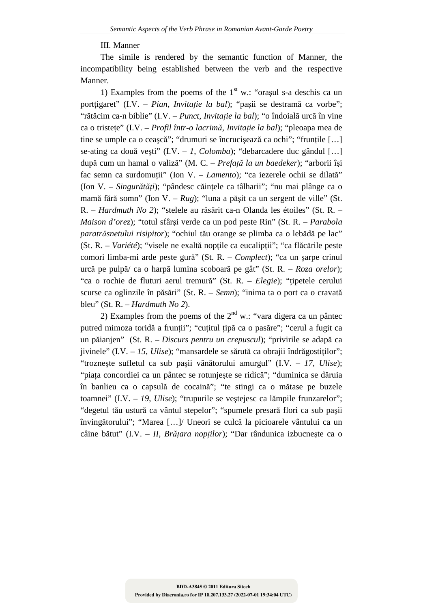## III. Manner

The simile is rendered by the semantic function of Manner, the incompatibility being established between the verb and the respective Manner.

1) Examples from the poems of the  $1<sup>st</sup>$  w.: "orasul s-a deschis ca un porttigaret" (I.V. – *Pian, Invitație la bal*); "pașii se destramă ca vorbe"; "rătăcim ca-n biblie" (I.V. – *Punct*, *Invitaţie la bal*); "o îndoială urcă în vine ca o tristeţe" (I.V. – *Profil într-o lacrimă*, *Invitaţie la bal*); "pleoapa mea de tine se umple ca o ceaşcă"; "drumuri se încrucişează ca ochi"; "frunţile […] se-ating ca două veşti" (I.V. – *1*, *Colomba*); "debarcadere duc gândul […] după cum un hamal o valiză" (M. C. – *Prefaţă la un baedeker*); "arborii îşi fac semn ca surdomuții" (Ion V. – *Lamento*); "ca iezerele ochii se dilată" (Ion V. – *Singurătăţi*); "pândesc căinţele ca tâlharii"; "nu mai plânge ca o mamă fără somn" (Ion V. – *Rug*); "luna a păşit ca un sergent de ville" (St. R. – *Hardmuth No 2*); "stelele au răsărit ca-n Olanda les étoiles" (St. R. – *Maison d'orez*); "totul sfârşi verde ca un pod peste Rin" (St. R. – *Parabola paratrăsnetului risipitor*); "ochiul tău orange se plimba ca o lebădă pe lac" (St. R. – *Variété*); "visele ne exaltă nopţile ca eucalipţii"; "ca flăcările peste comori limba-mi arde peste gură" (St. R. – *Complect*); "ca un şarpe crinul urcă pe pulpă/ ca o harpă lumina scoboară pe gât" (St. R. – *Roza orelor*); "ca o rochie de fluturi aerul tremură" (St. R. – *Elegie*); "ţipetele cerului scurse ca oglinzile în păsări" (St. R. – *Semn*); "inima ta o port ca o cravată bleu" (St. R. – *Hardmuth No 2*).

2) Examples from the poems of the  $2<sup>nd</sup>$  w.: "vara digera ca un pântec putred mimoza toridă a frunţii"; "cuţitul ţipă ca o pasăre"; "cerul a fugit ca un păianjen" (St. R. – *Discurs pentru un crepuscul*); "privirile se adapă ca jivinele" (I.V. – *15*, *Ulise*); "mansardele se sărută ca obrajii îndrăgostiţilor"; "trozneşte sufletul ca sub paşii vânătorului amurgul" (I.V. – *17*, *Ulise*); "piața concordiei ca un pântec se rotunjește se ridică"; "duminica se dăruia în banlieu ca o capsulă de cocaină"; "te stingi ca o mătase pe buzele toamnei" (I.V. – *19*, *Ulise*); "trupurile se veştejesc ca lămpile frunzarelor"; "degetul tău ustură ca vântul stepelor"; "spumele presară flori ca sub paşii învingătorului"; "Marea […]/ Uneori se culcă la picioarele vântului ca un câine bătut" (I.V. – *II*, *Brăţara nopţilor*); "Dar rândunica izbucneşte ca o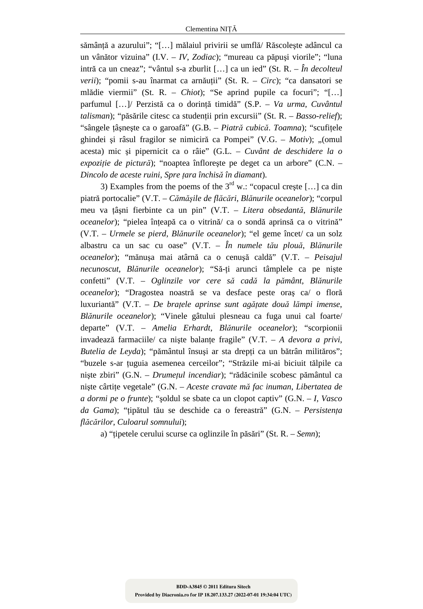sămânţă a azurului"; "[…] mălaiul privirii se umflă/ Răscoleşte adâncul ca un vânător vizuina" (I.V. – *IV*, *Zodiac*); "mureau ca păpuşi viorile"; "luna intră ca un cneaz"; "vântul s-a zburlit […] ca un ied" (St. R. – *În decolteul verii*); "pomii s-au înarmat ca arnăuţii" (St. R. – *Circ*); "ca dansatori se mlădie viermii" (St. R. – *Chiot*); "Se aprind pupile ca focuri"; "[…] parfumul […]/ Perzistă ca o dorinţă timidă" (S.P. – *Va urma*, *Cuvântul talisman*); "păsările citesc ca studenții prin excursii" (St. R. – *Basso-relief*); "sângele ţâşneşte ca o garoafă" (G.B. – *Piatră cubică*. *Toamna*); "scufiţele ghindei şi râsul fragilor se nimiciră ca Pompei" (V.G. – *Motiv*); "(omul acesta) mic şi pipernicit ca o râie" (G.L. – *Cuvânt de deschidere la o expoziţie de pictură*); "noaptea înfloreşte pe deget ca un arbore" (C.N. – *Dincolo de aceste ruini*, *Spre ţara închisă în diamant*).

3) Examples from the poems of the  $3^{rd}$  w.: "copacul creste [...] ca din piatră portocalie" (V.T. – *Cămăşile de flăcări*, *Blănurile oceanelor*); "corpul meu va ţâşni fierbinte ca un pin" (V.T. – *Litera obsedantă*, *Blănurile oceanelor*); "pielea înţeapă ca o vitrină/ ca o sondă aprinsă ca o vitrină" (V.T. – *Urmele se pierd*, *Blănurile oceanelor*); "el geme încet/ ca un solz albastru ca un sac cu oase" (V.T. – *În numele tău plouă*, *Blănurile oceanelor*); "mănuşa mai atârnă ca o cenuşă caldă" (V.T. – *Peisajul necunoscut*, *Blănurile oceanelor*); "Să-ţi arunci tâmplele ca pe nişte confetti" (V.T. – *Oglinzile vor cere să cadă la pământ*, *Blănurile oceanelor*); "Dragostea noastră se va desface peste oraş ca/ o floră luxuriantă" (V.T. – *De braţele aprinse sunt agăţate două lămpi imense*, *Blănurile oceanelor*); "Vinele gâtului plesneau ca fuga unui cal foarte/ departe" (V.T. – *Amelia Erhardt*, *Blănurile oceanelor*); "scorpionii invadează farmaciile/ ca niște balanțe fragile" (V.T. – A devora a privi, Butelia de Leyda); "pământul însuși ar sta drepți ca un bătrân milităros"; "buzele s-ar ţuguia asemenea cerceilor"; "Străzile mi-ai biciuit tălpile ca nişte zbiri" (G.N. – *Drumeţul incendiar*); "rădăcinile scobesc pământul ca nişte cârtiţe vegetale" (G.N. – *Aceste cravate mă fac inuman*, *Libertatea de a dormi pe o frunte*); "şoldul se sbate ca un clopot captiv" (G.N. – *I*, *Vasco da Gama*); "ţipătul tău se deschide ca o fereastră" (G.N. – *Persistenţa flăcărilor*, *Culoarul somnului*);

a) "ţipetele cerului scurse ca oglinzile în păsări" (St. R. – *Semn*);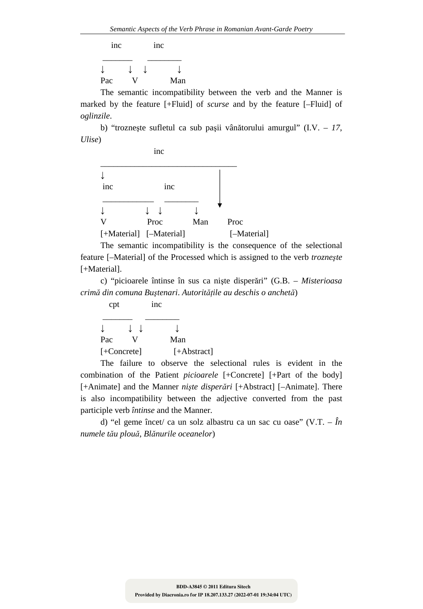inc inc  $\frac{1}{\sqrt{2\pi}}$  ,  $\frac{1}{\sqrt{2\pi}}$  ,  $\frac{1}{\sqrt{2\pi}}$  ,  $\frac{1}{\sqrt{2\pi}}$ ↓ ↓ ↓ ↓ Pac V Man

The semantic incompatibility between the verb and the Manner is marked by the feature [+Fluid] of *scurse* and by the feature [–Fluid] of *oglinzile*.

b) "trozneşte sufletul ca sub paşii vânătorului amurgul" (I.V. – *17*, *Ulise*)



The semantic incompatibility is the consequence of the selectional feature [–Material] of the Processed which is assigned to the verb *trozneşte* [+Material].

c) "picioarele întinse în sus ca nişte disperări" (G.B. – *Misterioasa crimă din comuna Buştenari*. *Autorităţile au deschis o anchetă*)

| $\text{cpt}$         |     | 1nc           |
|----------------------|-----|---------------|
|                      | t t |               |
| Pac                  |     | Man           |
| $[-\text{Concrete}]$ |     | $[+Abstract]$ |

The failure to observe the selectional rules is evident in the combination of the Patient *picioarele* [+Concrete] [+Part of the body] [+Animate] and the Manner *nişte disperări* [+Abstract] [–Animate]. There is also incompatibility between the adjective converted from the past participle verb *întinse* and the Manner.

d) "el geme încet/ ca un solz albastru ca un sac cu oase" (V.T. – *În numele tău plouă*, *Blănurile oceanelor*)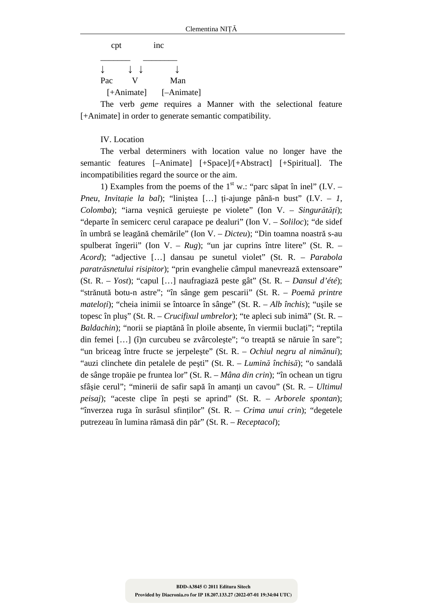| $\text{cpt}$ |   | inc        |  |
|--------------|---|------------|--|
|              | ↓ |            |  |
| Pac          |   | Man        |  |
| $[+Animal]$  |   | [-Animate] |  |

The verb *geme* requires a Manner with the selectional feature [+Animate] in order to generate semantic compatibility.

IV. Location

The verbal determiners with location value no longer have the semantic features [–Animate] [+Space]/[+Abstract] [+Spiritual]. The incompatibilities regard the source or the aim.

1) Examples from the poems of the  $1<sup>st</sup>$  w.: "parc săpat în inel" (I.V. – *Pneu*, *Invitaţie la bal*); "liniştea […] ţi-ajunge până-n bust" (I.V. – *1*, *Colomba*); "iarna veşnică geruieşte pe violete" (Ion V. – *Singurătăţi*); "departe în semicerc cerul carapace pe dealuri" (Ion V. – *Soliloc*); "de sidef în umbră se leagănă chemările" (Ion V. – *Dicteu*); "Din toamna noastră s-au spulberat îngerii" (Ion V. – *Rug*); "un jar cuprins între litere" (St. R. – *Acord*); "adjective […] dansau pe sunetul violet" (St. R. – *Parabola paratrăsnetului risipitor*); "prin evanghelie câmpul manevrează extensoare" (St. R. – *Yost*); "capul […] naufragiază peste gât" (St. R. – *Dansul d'été*); "strănută botu-n astre"; "în sânge gem pescarii" (St. R. – *Poemă printre mateloţi*); "cheia inimii se întoarce în sânge" (St. R. – *Alb închis*); "uşile se topesc în pluş" (St. R. – *Crucifixul umbrelor*); "te apleci sub inimă" (St. R. – *Baldachin*); "norii se piaptănă în ploile absente, în viermii buclaţi"; "reptila din femei […] (î)n curcubeu se zvârcoleşte"; "o treaptă se năruie în sare"; "un briceag între fructe se jerpeleşte" (St. R. – *Ochiul negru al nimănui*); "auzi clinchete din petalele de peşti" (St. R. – *Lumină închisă*); "o sandală de sânge tropăie pe fruntea lor" (St. R. – *Mâna din crin*); "în ochean un tigru sfâşie cerul"; "minerii de safir sapă în amanţi un cavou" (St. R. – *Ultimul peisaj*); "aceste clipe în peşti se aprind" (St. R. – *Arborele spontan*); "înverzea ruga în surâsul sfinţilor" (St. R. – *Crima unui crin*); "degetele putrezeau în lumina rămasă din păr" (St. R. – *Receptacol*);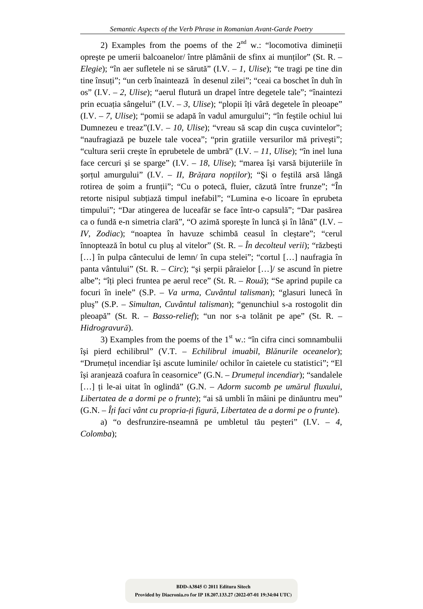2) Examples from the poems of the  $2<sup>nd</sup>$  w.: "locomotiva diminetii opreşte pe umerii balcoanelor/ între plămânii de sfinx ai munţilor" (St. R. – *Elegie*); "în aer sufletele ni se sărută" (I.V. – *1*, *Ulise*); "te tragi pe tine din tine însuți"; "un cerb înaintează în desenul zilei"; "ceai ca boschet în duh în os" (I.V. – *2*, *Ulise*); "aerul flutură un drapel între degetele tale"; "înaintezi prin ecuaţia sângelui" (I.V. – *3*, *Ulise*); "plopii îţi vâră degetele în pleoape" (I.V. – *7*, *Ulise*); "pomii se adapă în vadul amurgului"; "în feştile ochiul lui Dumnezeu e treaz"(I.V. – *10*, *Ulise*); "vreau să scap din cuşca cuvintelor"; "naufragiază pe buzele tale vocea"; "prin gratiile versurilor mă priveşti"; "cultura serii creşte în eprubetele de umbră" (I.V. – *11*, *Ulise*); "în inel luna face cercuri şi se sparge" (I.V. – *18*, *Ulise*); "marea îşi varsă bijuteriile în şorţul amurgului" (I.V. – *II*, *Brăţara nopţilor*); "Şi o feştilă arsă lângă rotirea de soim a fruntii"; "Cu o potecă, fluier, căzută între frunze"; "În retorte nisipul subţiază timpul inefabil"; "Lumina e-o licoare în eprubeta timpului"; "Dar atingerea de luceafăr se face într-o capsulă"; "Dar pasărea ca o fundă e-n simetria clară", "O azimă sporeşte în luncă şi în lână" (I.V. – *IV*, *Zodiac*); "noaptea în havuze schimbă ceasul în cleştare"; "cerul înnoptează în botul cu pluş al vitelor" (St. R. – *În decolteul verii*); "răzbeşti [...] în pulpa cântecului de lemn/ în cupa stelei"; "cortul [...] naufragia în panta vântului" (St. R. – *Circ*); "şi şerpii pâraielor […]/ se ascund în pietre albe"; "îţi pleci fruntea pe aerul rece" (St. R. – *Rouă*); "Se aprind pupile ca focuri în inele" (S.P. – *Va urma*, *Cuvântul talisman*); "glasuri lunecă în pluş" (S.P. – *Simultan*, *Cuvântul talisman*); "genunchiul s-a rostogolit din pleoapă" (St. R. – *Basso-relief*); "un nor s-a tolănit pe ape" (St. R. – *Hidrogravură*).

3) Examples from the poems of the  $1<sup>st</sup>$  w.: "în cifra cinci somnambulii îşi pierd echilibrul" (V.T. – *Echilibrul imuabil*, *Blănurile oceanelor*); "Drumeţul incendiar îşi ascute luminile/ ochilor în caietele cu statistici"; "El îşi aranjează coafura în ceasornice" (G.N. – *Drumeţul incendiar*); "sandalele […] ţi le-ai uitat în oglindă" (G.N. – *Adorm sucomb pe umărul fluxului*, *Libertatea de a dormi pe o frunte*); "ai să umbli în mâini pe dinăuntru meu" (G.N. – *Îţi faci vânt cu propria-ţi figură*, *Libertatea de a dormi pe o frunte*).

a) "o desfrunzire-nseamnă pe umbletul tău peşteri" (I.V. – *4*, *Colomba*);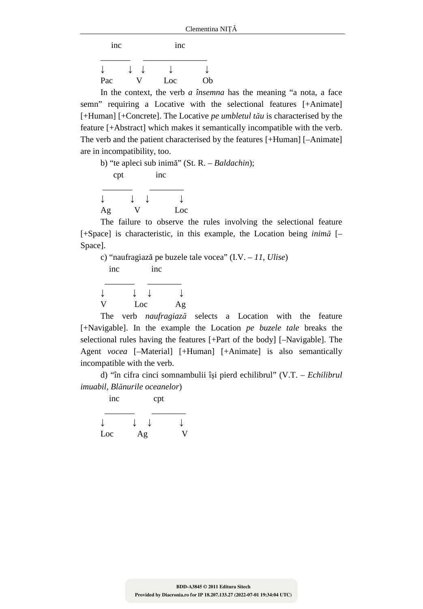inc inc

| ↓   |   |     |    |
|-----|---|-----|----|
| Pac | V | Loc | Ob |

In the context, the verb *a însemna* has the meaning "a nota, a face semn" requiring a Locative with the selectional features [+Animate] [+Human] [+Concrete]. The Locative *pe umbletul tău* is characterised by the feature [+Abstract] which makes it semantically incompatible with the verb. The verb and the patient characterised by the features [+Human] [–Animate] are in incompatibility, too.

b) "te apleci sub inimă" (St. R. – *Baldachin*); cpt inc  $\frac{1}{\sqrt{2\pi}}$  ,  $\frac{1}{\sqrt{2\pi}}$  ,  $\frac{1}{\sqrt{2\pi}}$  ,  $\frac{1}{\sqrt{2\pi}}$  ,  $\frac{1}{\sqrt{2\pi}}$ ↓ ↓ ↓ ↓ Ag V Loc

The failure to observe the rules involving the selectional feature [+Space] is characteristic, in this example, the Location being *inimă* [– Space].

c) "naufragiază pe buzele tale vocea" (I.V. – *11*, *Ulise*) inc inc  $\frac{1}{\sqrt{2\pi}}$  ,  $\frac{1}{\sqrt{2\pi}}$  ,  $\frac{1}{\sqrt{2\pi}}$  ,  $\frac{1}{\sqrt{2\pi}}$  ,  $\frac{1}{\sqrt{2\pi}}$ ↓ ↓ ↓ ↓ V Loc Ag The verb *naufragiază* selects a Location with the feature

[+Navigable]. In the example the Location *pe buzele tale* breaks the selectional rules having the features [+Part of the body] [–Navigable]. The Agent *vocea* [–Material] [+Human] [+Animate] is also semantically incompatible with the verb.

d) "în cifra cinci somnambulii îşi pierd echilibrul" (V.T. – *Echilibrul imuabil*, *Blănurile oceanelor*)

| inc |    | cpt |  |
|-----|----|-----|--|
|     |    |     |  |
| Loc | Ag |     |  |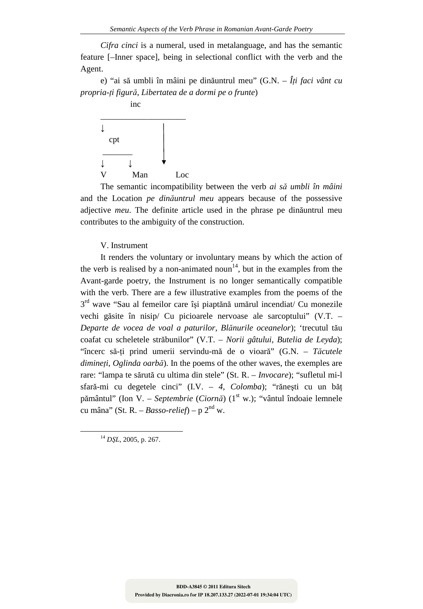*Cifra cinci* is a numeral, used in metalanguage, and has the semantic feature [–Inner space], being in selectional conflict with the verb and the Agent.

e) "ai să umbli în mâini pe dinăuntrul meu" (G.N. – *Îţi faci vânt cu propria-ţi figură*, *Libertatea de a dormi pe o frunte*)



The semantic incompatibility between the verb *ai să umbli în mâini* and the Location *pe dinăuntrul meu* appears because of the possessive adjective *meu*. The definite article used in the phrase pe dinăuntrul meu contributes to the ambiguity of the construction.

### V. Instrument

It renders the voluntary or involuntary means by which the action of the verb is realised by a non-animated noun<sup>14</sup>, but in the examples from the Avant-garde poetry, the Instrument is no longer semantically compatible with the verb. There are a few illustrative examples from the poems of the 3<sup>rd</sup> wave "Sau al femeilor care își piaptănă umărul incendiat/ Cu monezile vechi găsite în nisip/ Cu picioarele nervoase ale sarcoptului" (V.T. – *Departe de vocea de voal a paturilor*, *Blănurile oceanelor*); 'trecutul tău coafat cu scheletele străbunilor" (V.T. – *Norii gâtului*, *Butelia de Leyda*); "încerc să-ţi prind umerii servindu-mă de o vioară" (G.N. – *Tăcutele dimineţi*, *Oglinda oarbă*). In the poems of the other waves, the exemples are rare: "lampa te sărută cu ultima din stele" (St. R. – *Invocare*); "sufletul mi-l sfară-mi cu degetele cinci" (I.V. – *4*, *Colomba*); "răneşti cu un băţ pământul" (Ion V. – *Septembrie (Ciornă*) (1<sup>st</sup> w.); "vântul îndoaie lemnele cu mâna" (St. R. – *Basso-relief*) – p 2<sup>nd</sup> w.

<sup>14</sup> *DŞL*, 2005, p. 267.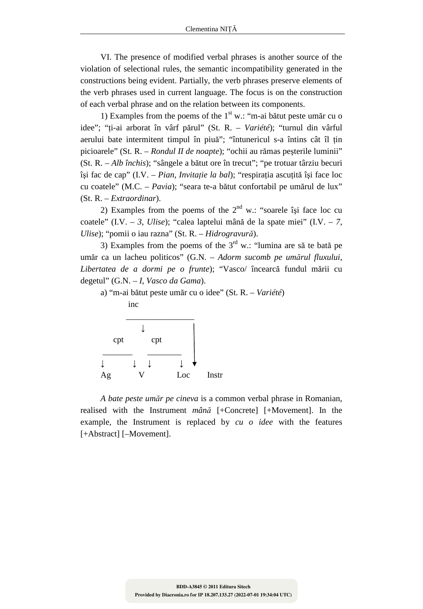VI. The presence of modified verbal phrases is another source of the violation of selectional rules, the semantic incompatibility generated in the constructions being evident. Partially, the verb phrases preserve elements of the verb phrases used in current language. The focus is on the construction of each verbal phrase and on the relation between its components.

1) Examples from the poems of the  $1<sup>st</sup>$  w.: "m-ai bătut peste umăr cu o idee"; "ţi-ai arborat în vârf părul" (St. R. – *Variété*); "turnul din vârful aerului bate intermitent timpul în piuă"; "întunericul s-a întins cât îl ţin picioarele" (St. R. – *Rondul II de noapte*); "ochii au rămas peşterile luminii" (St. R. – *Alb închis*); "sângele a bătut ore în trecut"; "pe trotuar târziu becuri îşi fac de cap" (I.V. – *Pian*, *Invitaţie la bal*); "respiraţia ascuţită îşi face loc cu coatele" (M.C. – *Pavia*); "seara te-a bătut confortabil pe umărul de lux" (St. R. – *Extraordinar*).

2) Examples from the poems of the  $2<sup>nd</sup>$  w.: "soarele îsi face loc cu coatele" (I.V. – *3*, *Ulise*); "calea laptelui mână de la spate miei" (I.V. – *7*, *Ulise*); "pomii o iau razna" (St. R. – *Hidrogravură*).

3) Examples from the poems of the  $3<sup>rd</sup>$  w.: "lumina are să te bată pe umăr ca un lacheu politicos" (G.N. – *Adorm sucomb pe umărul fluxului*, *Libertatea de a dormi pe o frunte*); "Vasco/ încearcă fundul mării cu degetul" (G.N. – *I*, *Vasco da Gama*).

a) "m-ai bătut peste umăr cu o idee" (St. R. – *Variété*)



*A bate peste umăr pe cineva* is a common verbal phrase in Romanian, realised with the Instrument *mână* [+Concrete] [+Movement]. In the example, the Instrument is replaced by *cu o idee* with the features [+Abstract] [-Movement].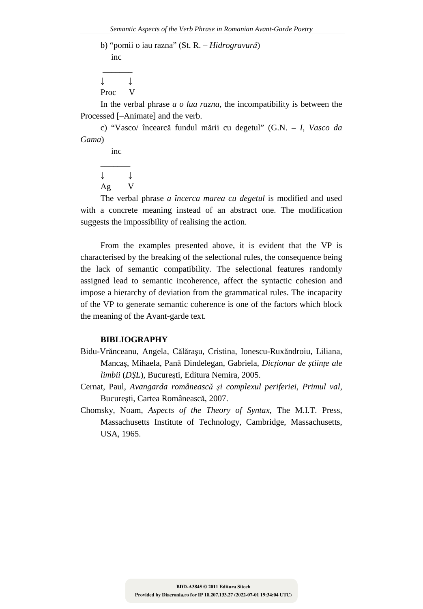b) "pomii o iau razna" (St. R. – *Hidrogravură*) inc

 $\overline{\phantom{a}}$ ↓ ↓ Proc V

In the verbal phrase *a o lua razna*, the incompatibility is between the Processed [–Animate] and the verb.

c) "Vasco/ încearcă fundul mării cu degetul" (G.N. – *I*, *Vasco da Gama*)

 inc  $\overline{\phantom{a}}$ ↓ ↓ Ag V

The verbal phrase *a încerca marea cu degetul* is modified and used with a concrete meaning instead of an abstract one. The modification suggests the impossibility of realising the action.

From the examples presented above, it is evident that the VP is characterised by the breaking of the selectional rules, the consequence being the lack of semantic compatibility. The selectional features randomly assigned lead to semantic incoherence, affect the syntactic cohesion and impose a hierarchy of deviation from the grammatical rules. The incapacity of the VP to generate semantic coherence is one of the factors which block the meaning of the Avant-garde text.

### **BIBLIOGRAPHY**

- Bidu-Vrănceanu, Angela, Călăraşu, Cristina, Ionescu-Ruxăndroiu, Liliana, Mancaş, Mihaela, Pană Dindelegan, Gabriela, *Dicţionar de ştiinţe ale limbii* (*DŞL*), Bucureşti, Editura Nemira, 2005.
- Cernat, Paul, *Avangarda românească şi complexul periferiei*, *Primul val*, Bucureşti, Cartea Românească, 2007.
- Chomsky, Noam, *Aspects of the Theory of Syntax*, The M.I.T. Press, Massachusetts Institute of Technology, Cambridge, Massachusetts, USA, 1965.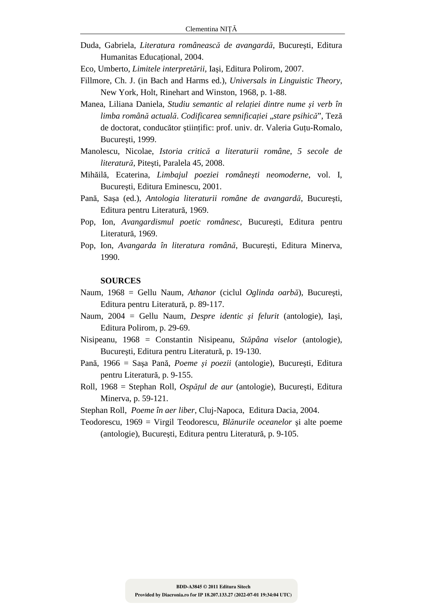- Duda, Gabriela, *Literatura românească de avangardă*, Bucureşti, Editura Humanitas Educaţional, 2004.
- Eco, Umberto, *Limitele interpretării*, Iaşi, Editura Polirom, 2007.
- Fillmore, Ch. J. (in Bach and Harms ed.), *Universals in Linguistic Theory*, New York, Holt, Rinehart and Winston, 1968, p. 1-88.
- Manea, Liliana Daniela, *Studiu semantic al relaţiei dintre nume şi verb în limba română actuală*. *Codificarea semnificaţiei* "*stare psihică*", Teză de doctorat, conducător ştiinţific: prof. univ. dr. Valeria Guţu-Romalo, Bucureşti, 1999.
- Manolescu, Nicolae, *Istoria critică a literaturii române*, *5 secole de literatură*, Piteşti, Paralela 45, 2008.
- Mihăilă, Ecaterina, *Limbajul poeziei româneşti neomoderne*, vol. I, Bucureşti, Editura Eminescu, 2001.
- Pană, Saşa (ed.), *Antologia literaturii române de avangardă*, Bucureşti, Editura pentru Literatură, 1969.
- Pop, Ion, *Avangardismul poetic românesc*, Bucureşti, Editura pentru Literatură, 1969.
- Pop, Ion, *Avangarda în literatura română*, Bucureşti, Editura Minerva, 1990.

#### **SOURCES**

- Naum, 1968 = Gellu Naum, *Athanor* (ciclul *Oglinda oarbă*), Bucureşti, Editura pentru Literatură, p. 89-117.
- Naum, 2004 = Gellu Naum, *Despre identic şi felurit* (antologie), Iaşi, Editura Polirom, p. 29-69.
- Nisipeanu, 1968 = Constantin Nisipeanu, *Stăpâna viselor* (antologie), Bucureşti, Editura pentru Literatură, p. 19-130.
- Pană, 1966 = Saşa Pană, *Poeme şi poezii* (antologie), Bucureşti, Editura pentru Literatură, p. 9-155.
- Roll, 1968 = Stephan Roll, *Ospăţul de aur* (antologie), Bucureşti, Editura Minerva, p. 59-121.

Stephan Roll, *Poeme în aer liber*, Cluj-Napoca, Editura Dacia, 2004.

Teodorescu, 1969 = Virgil Teodorescu, *Blănurile oceanelor* şi alte poeme (antologie), Bucureşti, Editura pentru Literatură, p. 9-105.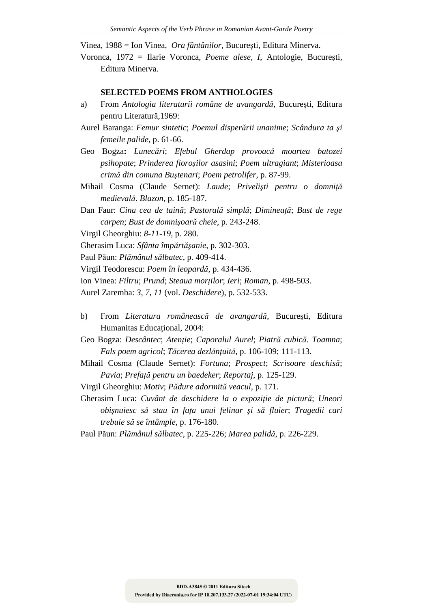Vinea, 1988 = Ion Vinea, *Ora fântânilor*, Bucureşti, Editura Minerva.

Voronca, 1972 = Ilarie Voronca, *Poeme alese*, *I*, Antologie, Bucureşti, Editura Minerva.

### **SELECTED POEMS FROM ANTHOLOGIES**

- a) From *Antologia literaturii române de avangardă*, Bucureşti, Editura pentru Literatură,1969:
- Aurel Baranga: *Femur sintetic*; *Poemul disperării unanime*; *Scândura ta şi femeile palide*, p. 61-66.
- Geo Bogza**:** *Lunecări*; *Efebul Gherdap provoacă moartea batozei psihopate*; *Prinderea fioroşilor asasini*; *Poem ultragiant*; *Misterioasa crimă din comuna Buştenari*; *Poem petrolifer*, p. 87-99.
- Mihail Cosma (Claude Sernet): *Laude*; *Privelişti pentru o domniţă medievală*. *Blazon*, p. 185-187.
- Dan Faur: *Cina cea de taină*; *Pastorală simplă*; *Dimineaţă*; *Bust de rege carpen*; *Bust de domnişoară cheie*, p. 243-248.
- Virgil Gheorghiu: *8-11-19*, p. 280.
- Gherasim Luca: *Sfânta împărtăşanie*, p. 302-303.
- Paul Păun: *Plămânul sălbatec*, p. 409-414.
- Virgil Teodorescu: *Poem în leopardă*, p. 434-436.
- Ion Vinea: *Filtru*; *Prund*; *Steaua morţilor*; *Ieri*; *Roman*, p. 498-503.
- Aurel Zaremba: *3*, *7*, *11* (vol. *Deschidere*), p. 532-533.
- b) From *Literatura românească de avangardă*, Bucureşti, Editura Humanitas Educational, 2004:
- Geo Bogza: *Descântec*; *Atenţie*; *Caporalul Aurel*; *Piatră cubică*. *Toamna*; *Fals poem agricol*; *Tăcerea dezlănţuită*, p. 106-109; 111-113.
- Mihail Cosma (Claude Sernet): *Fortuna*; *Prospect*; *Scrisoare deschisă*; *Pavia*; *Prefaţă pentru un baedeker*; *Reportaj*, p. 125-129.
- Virgil Gheorghiu: *Motiv*; *Pădure adormită veacul*, p. 171.
- Gherasim Luca: *Cuvânt de deschidere la o expoziţie de pictură*; *Uneori obişnuiesc să stau în faţa unui felinar şi să fluier*; *Tragedii cari trebuie să se întâmple*, p. 176-180.
- Paul Păun: *Plămânul sălbatec*, p. 225-226; *Marea palidă*, p. 226-229.